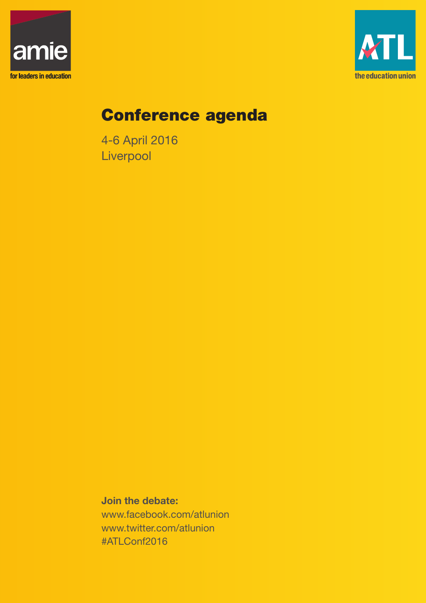



# Conference agenda

4-6 April 2016 **Liverpool** 

**Join the debate:** www.facebook.com/atlunion www.twitter.com/atlunion #ATLConf2016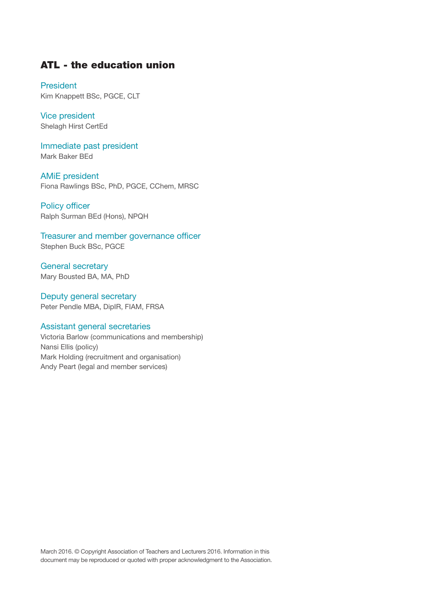## ATL - the education union

President Kim Knappett BSc, PGCE, CLT

Vice president Shelagh Hirst CertEd

Immediate past president Mark Baker BEd

AMiE president Fiona Rawlings BSc, PhD, PGCE, CChem, MRSC

Policy officer Ralph Surman BEd (Hons), NPQH

Treasurer and member governance officer Stephen Buck BSc, PGCE

General secretary Mary Bousted BA, MA, PhD

Deputy general secretary Peter Pendle MBA, DipIR, FIAM, FRSA

#### Assistant general secretaries

Victoria Barlow (communications and membership) Nansi Ellis (policy) Mark Holding (recruitment and organisation) Andy Peart (legal and member services)

March 2016. © Copyright Association of Teachers and Lecturers 2016. Information in this document may be reproduced or quoted with proper acknowledgment to the Association.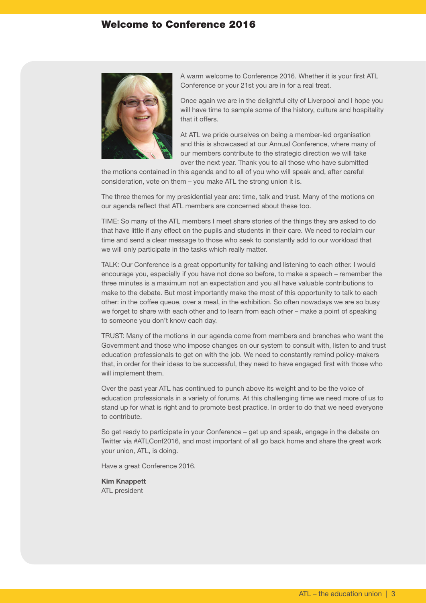## Welcome to Conference 2016



A warm welcome to Conference 2016. Whether it is your first ATL Conference or your 21st you are in for a real treat.

Once again we are in the delightful city of Liverpool and I hope you will have time to sample some of the history, culture and hospitality that it offers.

At ATL we pride ourselves on being a member-led organisation and this is showcased at our Annual Conference, where many of our members contribute to the strategic direction we will take over the next year. Thank you to all those who have submitted

the motions contained in this agenda and to all of you who will speak and, after careful consideration, vote on them – you make ATL the strong union it is.

The three themes for my presidential year are: time, talk and trust. Many of the motions on our agenda reflect that ATL members are concerned about these too.

TIME: So many of the ATL members I meet share stories of the things they are asked to do that have little if any effect on the pupils and students in their care. We need to reclaim our time and send a clear message to those who seek to constantly add to our workload that we will only participate in the tasks which really matter.

TALK: Our Conference is a great opportunity for talking and listening to each other. I would encourage you, especially if you have not done so before, to make a speech – remember the three minutes is a maximum not an expectation and you all have valuable contributions to make to the debate. But most importantly make the most of this opportunity to talk to each other: in the coffee queue, over a meal, in the exhibition. So often nowadays we are so busy we forget to share with each other and to learn from each other – make a point of speaking to someone you don't know each day.

TRUST: Many of the motions in our agenda come from members and branches who want the Government and those who impose changes on our system to consult with, listen to and trust education professionals to get on with the job. We need to constantly remind policy-makers that, in order for their ideas to be successful, they need to have engaged first with those who will implement them.

Over the past year ATL has continued to punch above its weight and to be the voice of education professionals in a variety of forums. At this challenging time we need more of us to stand up for what is right and to promote best practice. In order to do that we need everyone to contribute.

So get ready to participate in your Conference – get up and speak, engage in the debate on Twitter via #ATLConf2016, and most important of all go back home and share the great work your union, ATL, is doing.

Have a great Conference 2016.

**Kim Knappett** ATL president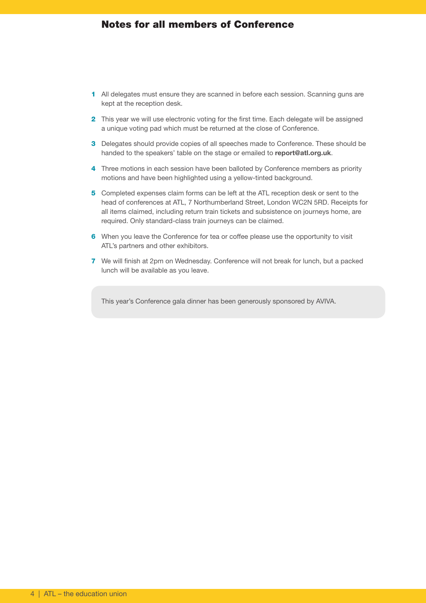## Notes for all members of Conference

- 1 All delegates must ensure they are scanned in before each session. Scanning guns are kept at the reception desk.
- 2 This year we will use electronic voting for the first time. Each delegate will be assigned a unique voting pad which must be returned at the close of Conference.
- 3 Delegates should provide copies of all speeches made to Conference. These should be handed to the speakers' table on the stage or emailed to **report@atl.org.uk**.
- 4 Three motions in each session have been balloted by Conference members as priority motions and have been highlighted using a yellow-tinted background.
- 5 Completed expenses claim forms can be left at the ATL reception desk or sent to the head of conferences at ATL, 7 Northumberland Street, London WC2N 5RD. Receipts for all items claimed, including return train tickets and subsistence on journeys home, are required. Only standard-class train journeys can be claimed.
- 6 When you leave the Conference for tea or coffee please use the opportunity to visit ATL's partners and other exhibitors.
- 7 We will finish at 2pm on Wednesday. Conference will not break for lunch, but a packed lunch will be available as you leave.

This year's Conference gala dinner has been generously sponsored by AVIVA.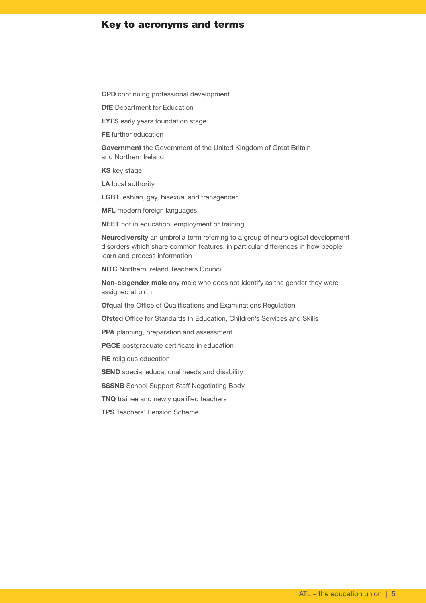## Key to acronyms and terms

**CPD** continuing professional development

**DfE** Department for Education

**EYFS** early years foundation stage

**FE** further education

**Government** the Government of the United Kingdom of Great Britain and Northern Ireland

**KS** key stage

**LA** local authority

**LGBT** lesbian, gay, bisexual and transgender

**MFL** modern foreign languages

**NEET** not in education, employment or training

**Neurodiversity** an umbrella term referring to a group of neurological development disorders which share common features, in particular differences in how people learn and process information

**NITC** Northern Ireland Teachers Council

**Non-cisgender male** any male who does not identify as the gender they were assigned at birth

**Ofqual** the Office of Qualifications and Examinations Regulation

**Ofsted** Office for Standards in Education, Children's Services and Skills

**PPA** planning, preparation and assessment

**PGCE** postgraduate certificate in education

**RE** religious education

**SEND** special educational needs and disability

**SSSNB** School Support Staff Negotiating Body

**TNQ** trainee and newly qualified teachers

**TPS** Teachers' Pension Scheme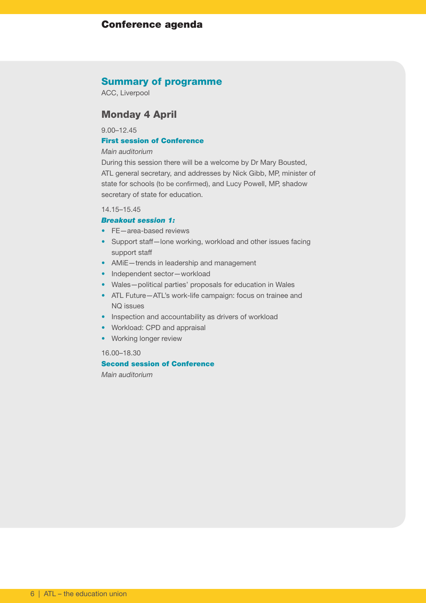## Conference agenda

### Summary of programme

ACC, Liverpool

## Monday 4 April

9.00–12.45

#### First session of Conference

#### *Main auditorium*

During this session there will be a welcome by Dr Mary Bousted, ATL general secretary, and addresses by Nick Gibb, MP, minister of state for schools (to be confirmed), and Lucy Powell, MP, shadow secretary of state for education.

14.15–15.45

#### *Breakout session 1:*

- FE-area-based reviews
- Support staff—lone working, workload and other issues facing support staff
- AMiE—trends in leadership and management
- Independent sector-workload
- Wales—political parties' proposals for education in Wales
- ATL Future—ATL's work-life campaign: focus on trainee and NQ issues
- Inspection and accountability as drivers of workload
- Workload: CPD and appraisal
- Working longer review

#### 16.00–18.30

#### Second session of Conference

*Main auditorium*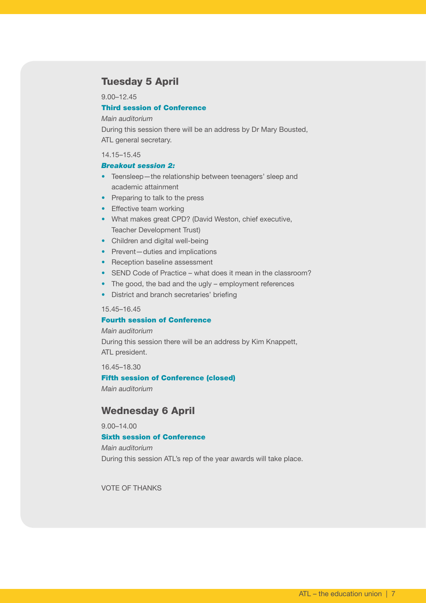## Tuesday 5 April

9.00–12.45

### Third session of Conference

#### *Main auditorium*

During this session there will be an address by Dr Mary Bousted, ATL general secretary.

#### 14.15–15.45

#### *Breakout session 2:*

- Teensleep—the relationship between teenagers' sleep and academic attainment
- Preparing to talk to the press
- Effective team working
- What makes great CPD? (David Weston, chief executive, Teacher Development Trust)
- Children and digital well-being
- Prevent-duties and implications
- Reception baseline assessment
- SEND Code of Practice what does it mean in the classroom?
- The good, the bad and the ugly employment references
- District and branch secretaries' briefing

#### 15.45–16.45

#### Fourth session of Conference

#### *Main auditorium*

During this session there will be an address by Kim Knappett, ATL president.

16.45–18.30

#### Fifth session of Conference (closed)

*Main auditorium*

## Wednesday 6 April

9.00–14.00

## Sixth session of Conference

*Main auditorium* During this session ATL's rep of the year awards will take place.

VOTE OF THANKS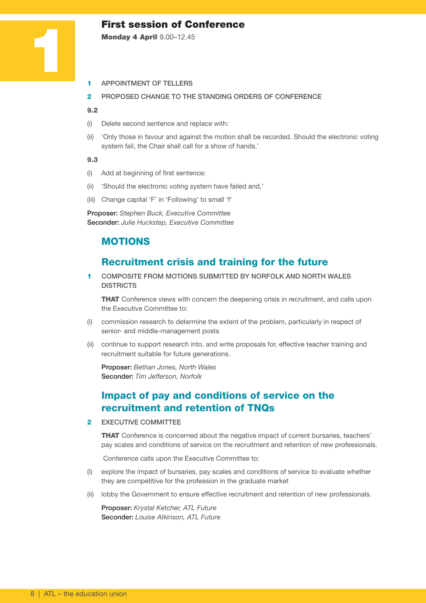## First session of Conference

Monday 4 April 9.00–12.45

- 1 APPOINTMENT OF TELLERS
- 2 PROPOSED CHANGE TO THE STANDING ORDERS OF CONFERENCE

#### 9.2

1

- (i) Delete second sentence and replace with:
- (ii) 'Only those in favour and against the motion shall be recorded. Should the electronic voting system fail, the Chair shall call for a show of hands.'

#### 9.3

- (i) Add at beginning of first sentence:
- (ii) 'Should the electronic voting system have failed and,'
- (iii) Change capital 'F' in 'Following' to small 'f'

Proposer: *Stephen Buck, Executive Committee* Seconder: *Julie Huckstep, Executive Committee*

## MOTIONS

## Recruitment crisis and training for the future

1 COMPOSITE FROM MOTIONS SUBMITTED BY NORFOLK AND NORTH WALES **DISTRICTS** 

**THAT** Conference views with concern the deepening crisis in recruitment, and calls upon the Executive Committee to:

- (i) commission research to determine the extent of the problem, particularly in respect of senior- and middle-management posts
- (ii) continue to support research into, and write proposals for, effective teacher training and recruitment suitable for future generations.

Proposer: *Bethan Jones, North Wales* Seconder: *Tim Jefferson, Norfolk*

## Impact of pay and conditions of service on the recruitment and retention of TNQs

2 EXECUTIVE COMMITTEE

**THAT** Conference is concerned about the negative impact of current bursaries, teachers' pay scales and conditions of service on the recruitment and retention of new professionals.

Conference calls upon the Executive Committee to:

- (i) explore the impact of bursaries, pay scales and conditions of service to evaluate whether they are competitive for the profession in the graduate market
- (ii) lobby the Government to ensure effective recruitment and retention of new professionals.

Proposer: *Krystal Ketcher, ATL Future* Seconder: *Louise Atkinson, ATL Future*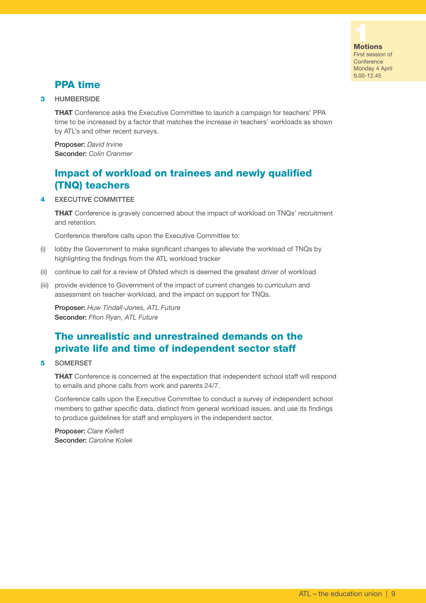

## PPA time

3 HUMBERSIDE

**THAT** Conference asks the Executive Committee to launch a campaign for teachers' PPA time to be increased by a factor that matches the increase in teachers' workloads as shown by ATL's and other recent surveys.

Proposer: *David Irvine* Seconder: *Colin Cranmer*

# Impact of workload on trainees and newly qualified (TNQ) teachers

#### 4 EXECUTIVE COMMITTEE

**THAT** Conference is gravely concerned about the impact of workload on TNQs' recruitment and retention.

Conference therefore calls upon the Executive Committee to:

- (i) lobby the Government to make significant changes to alleviate the workload of TNQs by highlighting the findings from the ATL workload tracker
- (ii) continue to call for a review of Ofsted which is deemed the greatest driver of workload
- (iii) provide evidence to Government of the impact of current changes to curriculum and assessment on teacher workload, and the impact on support for TNQs.

Proposer: *Huw Tindall-Jones, ATL Future* Seconder: *Ffion Ryan, ATL Future*

# The unrealistic and unrestrained demands on the private life and time of independent sector staff

#### 5 SOMERSET

**THAT** Conference is concerned at the expectation that independent school staff will respond to emails and phone calls from work and parents 24/7.

Conference calls upon the Executive Committee to conduct a survey of independent school members to gather specific data, distinct from general workload issues, and use its findings to produce guidelines for staff and employers in the independent sector.

Proposer: *Clare Kellett* Seconder: *Caroline Kolek*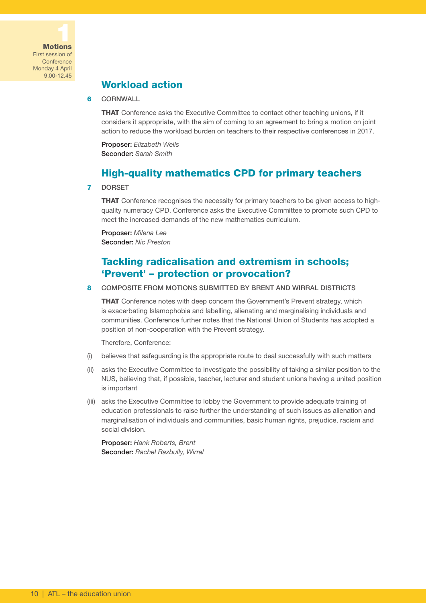

## Workload action

#### 6 CORNWALL

**THAT** Conference asks the Executive Committee to contact other teaching unions, if it considers it appropriate, with the aim of coming to an agreement to bring a motion on joint action to reduce the workload burden on teachers to their respective conferences in 2017.

Proposer: *Elizabeth Wells* Seconder: *Sarah Smith*

## High-quality mathematics CPD for primary teachers

#### 7 DORSET

**THAT** Conference recognises the necessity for primary teachers to be given access to highquality numeracy CPD. Conference asks the Executive Committee to promote such CPD to meet the increased demands of the new mathematics curriculum.

Proposer: *Milena Lee* Seconder: *Nic Preston*

## Tackling radicalisation and extremism in schools; 'Prevent' – protection or provocation?

#### 8 COMPOSITE FROM MOTIONS SUBMITTED BY BRENT AND WIRRAL DISTRICTS

**THAT** Conference notes with deep concern the Government's Prevent strategy, which is exacerbating Islamophobia and labelling, alienating and marginalising individuals and communities. Conference further notes that the National Union of Students has adopted a position of non-cooperation with the Prevent strategy.

Therefore, Conference:

- (i) believes that safeguarding is the appropriate route to deal successfully with such matters
- (ii) asks the Executive Committee to investigate the possibility of taking a similar position to the NUS, believing that, if possible, teacher, lecturer and student unions having a united position is important
- (iii) asks the Executive Committee to lobby the Government to provide adequate training of education professionals to raise further the understanding of such issues as alienation and marginalisation of individuals and communities, basic human rights, prejudice, racism and social division.

Proposer: *Hank Roberts, Brent* Seconder: *Rachel Razbully, Wirral*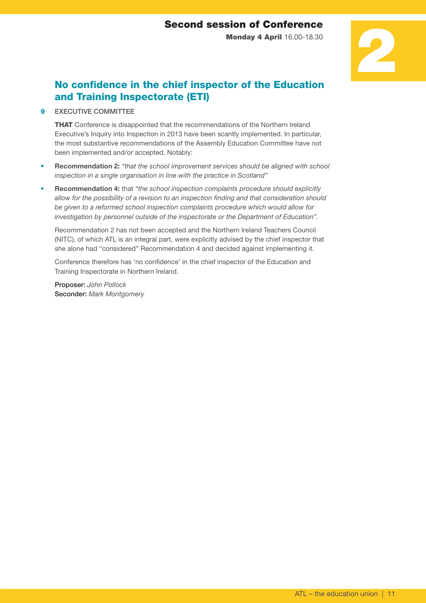Monday 4 April 16.00-18.30

# 2

# No confidence in the chief inspector of the Education and Training Inspectorate (ETI)

9 EXECUTIVE COMMITTEE

**THAT** Conference is disappointed that the recommendations of the Northern Ireland Executive's Inquiry into Inspection in 2013 have been scantly implemented. In particular, the most substantive recommendations of the Assembly Education Committee have not been implemented and/or accepted. Notably:

- **Recommendation 2:** *"that the school improvement services should be aligned with school inspection in a single organisation in line with the practice in Scotland"*
- **Recommendation 4:** that *"the school inspection complaints procedure should explicitly allow for the possibility of a revision to an inspection finding and that consideration should be given to a reformed school inspection complaints procedure which would allow for investigation by personnel outside of the inspectorate or the Department of Education".*

 Recommendation 2 has not been accepted and the Northern Ireland Teachers Council (NITC), of which ATL is an integral part, were explicitly advised by the chief inspector that she alone had "considered" Recommendation 4 and decided against implementing it.

 Conference therefore has 'no confidence' in the chief inspector of the Education and Training Inspectorate in Northern Ireland.

Proposer: *John Pollock* Seconder: *Mark Montgomery*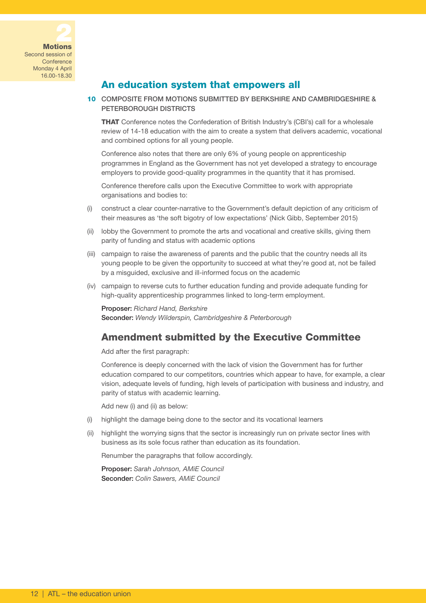

## An education system that empowers all

10 COMPOSITE FROM MOTIONS SUBMITTED BY BERKSHIRE AND CAMBRIDGESHIRE & PETERBOROUGH DISTRICTS

**THAT** Conference notes the Confederation of British Industry's (CBI's) call for a wholesale review of 14-18 education with the aim to create a system that delivers academic, vocational and combined options for all young people.

Conference also notes that there are only 6% of young people on apprenticeship programmes in England as the Government has not yet developed a strategy to encourage employers to provide good-quality programmes in the quantity that it has promised.

Conference therefore calls upon the Executive Committee to work with appropriate organisations and bodies to:

- (i) construct a clear counter-narrative to the Government's default depiction of any criticism of their measures as 'the soft bigotry of low expectations' (Nick Gibb, September 2015)
- (ii) lobby the Government to promote the arts and vocational and creative skills, giving them parity of funding and status with academic options
- (iii) campaign to raise the awareness of parents and the public that the country needs all its young people to be given the opportunity to succeed at what they're good at, not be failed by a misguided, exclusive and ill-informed focus on the academic
- (iv) campaign to reverse cuts to further education funding and provide adequate funding for high-quality apprenticeship programmes linked to long-term employment.

Proposer: *Richard Hand, Berkshire*

Seconder: *Wendy Wilderspin, Cambridgeshire & Peterborough*

## Amendment submitted by the Executive Committee

Add after the first paragraph:

Conference is deeply concerned with the lack of vision the Government has for further education compared to our competitors, countries which appear to have, for example, a clear vision, adequate levels of funding, high levels of participation with business and industry, and parity of status with academic learning.

Add new (i) and (ii) as below:

- (i) highlight the damage being done to the sector and its vocational learners
- (ii) highlight the worrying signs that the sector is increasingly run on private sector lines with business as its sole focus rather than education as its foundation.

Renumber the paragraphs that follow accordingly.

Proposer: *Sarah Johnson, AMiE Council* Seconder: *Colin Sawers, AMiE Council*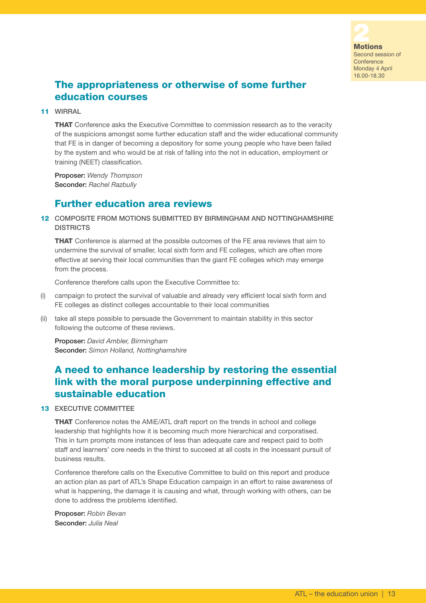

# The appropriateness or otherwise of some further education courses

#### 11 WIRRAL

**THAT** Conference asks the Executive Committee to commission research as to the veracity of the suspicions amongst some further education staff and the wider educational community that FE is in danger of becoming a depository for some young people who have been failed by the system and who would be at risk of falling into the not in education, employment or training (NEET) classification.

Proposer: *Wendy Thompson* Seconder: *Rachel Razbully*

## Further education area reviews

#### 12 COMPOSITE FROM MOTIONS SUBMITTED BY BIRMINGHAM AND NOTTINGHAMSHIRE **DISTRICTS**

**THAT** Conference is alarmed at the possible outcomes of the FE area reviews that aim to undermine the survival of smaller, local sixth form and FE colleges, which are often more effective at serving their local communities than the giant FE colleges which may emerge from the process.

Conference therefore calls upon the Executive Committee to:

- (i) campaign to protect the survival of valuable and already very efficient local sixth form and FE colleges as distinct colleges accountable to their local communities
- (ii) take all steps possible to persuade the Government to maintain stability in this sector following the outcome of these reviews.

Proposer: *David Ambler, Birmingham* Seconder: *Simon Holland, Nottinghamshire*

## A need to enhance leadership by restoring the essential link with the moral purpose underpinning effective and sustainable education

#### 13 EXECUTIVE COMMITTEE

**THAT** Conference notes the AMIE/ATL draft report on the trends in school and college leadership that highlights how it is becoming much more hierarchical and corporatised. This in turn prompts more instances of less than adequate care and respect paid to both staff and learners' core needs in the thirst to succeed at all costs in the incessant pursuit of business results.

Conference therefore calls on the Executive Committee to build on this report and produce an action plan as part of ATL's Shape Education campaign in an effort to raise awareness of what is happening, the damage it is causing and what, through working with others, can be done to address the problems identified.

Proposer: *Robin Bevan* Seconder: *Julia Neal*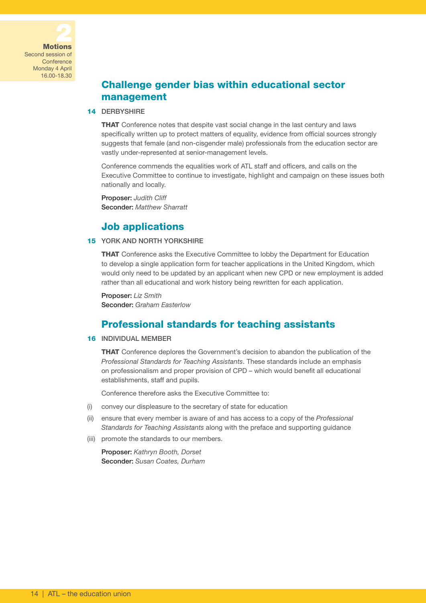

# Challenge gender bias within educational sector management

#### 14 DERBYSHIRE

**THAT** Conference notes that despite vast social change in the last century and laws specifically written up to protect matters of equality, evidence from official sources strongly suggests that female (and non-cisgender male) professionals from the education sector are vastly under-represented at senior-management levels.

Conference commends the equalities work of ATL staff and officers, and calls on the Executive Committee to continue to investigate, highlight and campaign on these issues both nationally and locally.

Proposer: *Judith Cliff* Seconder: *Matthew Sharratt*

## Job applications

### 15 YORK AND NORTH YORKSHIRE

THAT Conference asks the Executive Committee to lobby the Department for Education to develop a single application form for teacher applications in the United Kingdom, which would only need to be updated by an applicant when new CPD or new employment is added rather than all educational and work history being rewritten for each application.

Proposer: *Liz Smith* Seconder: *Graham Easterlow*

## Professional standards for teaching assistants

#### 16 INDIVIDUAL MEMBER

THAT Conference deplores the Government's decision to abandon the publication of the *Professional Standards for Teaching Assistants*. These standards include an emphasis on professionalism and proper provision of CPD – which would benefit all educational establishments, staff and pupils.

Conference therefore asks the Executive Committee to:

- (i) convey our displeasure to the secretary of state for education
- (ii) ensure that every member is aware of and has access to a copy of the *Professional Standards for Teaching Assistants* along with the preface and supporting guidance
- (iii) promote the standards to our members.

Proposer: *Kathryn Booth, Dorset* Seconder: *Susan Coates, Durham*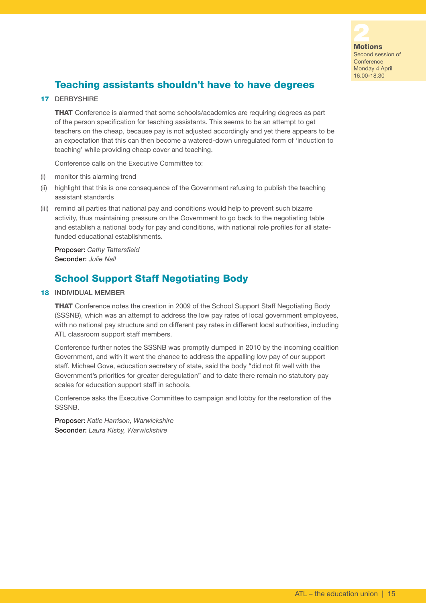

# Teaching assistants shouldn't have to have degrees

#### 17 DERBYSHIRE

**THAT** Conference is alarmed that some schools/academies are requiring degrees as part of the person specification for teaching assistants. This seems to be an attempt to get teachers on the cheap, because pay is not adjusted accordingly and yet there appears to be an expectation that this can then become a watered-down unregulated form of 'induction to teaching' while providing cheap cover and teaching.

Conference calls on the Executive Committee to:

- (i) monitor this alarming trend
- (ii) highlight that this is one consequence of the Government refusing to publish the teaching assistant standards
- (iii) remind all parties that national pay and conditions would help to prevent such bizarre activity, thus maintaining pressure on the Government to go back to the negotiating table and establish a national body for pay and conditions, with national role profiles for all statefunded educational establishments.

Proposer: *Cathy Tattersfield* Seconder: *Julie Nall*

## School Support Staff Negotiating Body

#### 18 INDIVIDUAL MEMBER

THAT Conference notes the creation in 2009 of the School Support Staff Negotiating Body (SSSNB), which was an attempt to address the low pay rates of local government employees, with no national pay structure and on different pay rates in different local authorities, including ATL classroom support staff members.

Conference further notes the SSSNB was promptly dumped in 2010 by the incoming coalition Government, and with it went the chance to address the appalling low pay of our support staff. Michael Gove, education secretary of state, said the body "did not fit well with the Government's priorities for greater deregulation" and to date there remain no statutory pay scales for education support staff in schools.

Conference asks the Executive Committee to campaign and lobby for the restoration of the SSSNB.

Proposer: *Katie Harrison, Warwickshire* Seconder: *Laura Kisby, Warwickshire*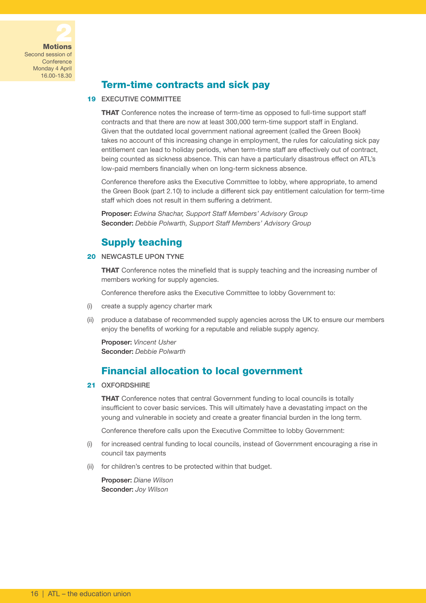

## Term-time contracts and sick pay

#### 19 EXECUTIVE COMMITTEE

**THAT** Conference notes the increase of term-time as opposed to full-time support staff contracts and that there are now at least 300,000 term-time support staff in England. Given that the outdated local government national agreement (called the Green Book) takes no account of this increasing change in employment, the rules for calculating sick pay entitlement can lead to holiday periods, when term-time staff are effectively out of contract, being counted as sickness absence. This can have a particularly disastrous effect on ATL's low-paid members financially when on long-term sickness absence.

Conference therefore asks the Executive Committee to lobby, where appropriate, to amend the Green Book (part 2.10) to include a different sick pay entitlement calculation for term-time staff which does not result in them suffering a detriment.

Proposer: *Edwina Shachar, Support Staff Members' Advisory Group* Seconder: *Debbie Polwarth, Support Staff Members' Advisory Group*

## Supply teaching

#### 20 NEWCASTLE UPON TYNE

**THAT** Conference notes the minefield that is supply teaching and the increasing number of members working for supply agencies.

Conference therefore asks the Executive Committee to lobby Government to:

- (i) create a supply agency charter mark
- (ii) produce a database of recommended supply agencies across the UK to ensure our members enjoy the benefits of working for a reputable and reliable supply agency.

Proposer: *Vincent Usher* Seconder: *Debbie Polwarth* 

## Financial allocation to local government

#### 21 OXFORDSHIRE

**THAT** Conference notes that central Government funding to local councils is totally insufficient to cover basic services. This will ultimately have a devastating impact on the young and vulnerable in society and create a greater financial burden in the long term.

Conference therefore calls upon the Executive Committee to lobby Government:

- (i) for increased central funding to local councils, instead of Government encouraging a rise in council tax payments
- (ii) for children's centres to be protected within that budget.

Proposer: *Diane Wilson* Seconder: *Joy Wilson*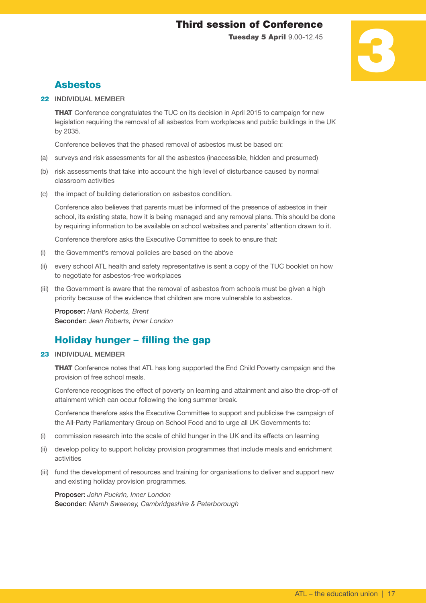# Third session of Conference

Tuesday 5 April 9.00-12.45

# 3

# Asbestos

#### 22 INDIVIDUAL MEMBER

**THAT** Conference congratulates the TUC on its decision in April 2015 to campaign for new legislation requiring the removal of all asbestos from workplaces and public buildings in the UK by 2035.

Conference believes that the phased removal of asbestos must be based on:

- (a) surveys and risk assessments for all the asbestos (inaccessible, hidden and presumed)
- (b) risk assessments that take into account the high level of disturbance caused by normal classroom activities
- (c) the impact of building deterioration on asbestos condition.

Conference also believes that parents must be informed of the presence of asbestos in their school, its existing state, how it is being managed and any removal plans. This should be done by requiring information to be available on school websites and parents' attention drawn to it.

Conference therefore asks the Executive Committee to seek to ensure that:

- (i) the Government's removal policies are based on the above
- (ii) every school ATL health and safety representative is sent a copy of the TUC booklet on how to negotiate for asbestos-free workplaces
- (iii) the Government is aware that the removal of asbestos from schools must be given a high priority because of the evidence that children are more vulnerable to asbestos.

Proposer: *Hank Roberts, Brent* Seconder: *Jean Roberts, Inner London*

## Holiday hunger – filling the gap

#### 23 INDIVIDUAL MEMBER

**THAT** Conference notes that ATL has long supported the End Child Poverty campaign and the provision of free school meals.

Conference recognises the effect of poverty on learning and attainment and also the drop-off of attainment which can occur following the long summer break.

Conference therefore asks the Executive Committee to support and publicise the campaign of the All-Party Parliamentary Group on School Food and to urge all UK Governments to:

- (i) commission research into the scale of child hunger in the UK and its effects on learning
- (ii) develop policy to support holiday provision programmes that include meals and enrichment activities
- (iii) fund the development of resources and training for organisations to deliver and support new and existing holiday provision programmes.

Proposer: *John Puckrin, Inner London* Seconder: *Niamh Sweeney, Cambridgeshire & Peterborough*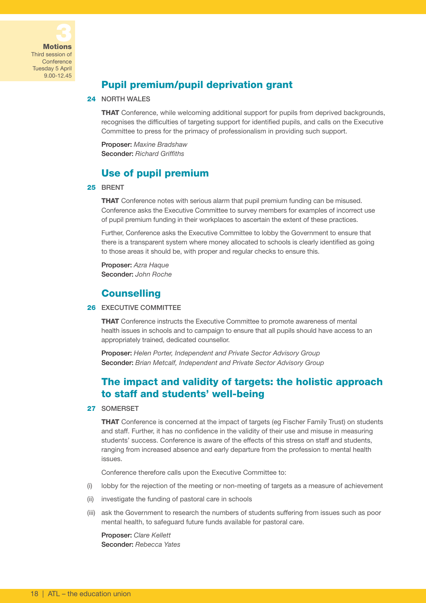

Third session of **Conference** Tuesday 5 April 9.00-12.45

# Pupil premium/pupil deprivation grant

#### 24 NORTH WALES

**THAT** Conference, while welcoming additional support for pupils from deprived backgrounds, recognises the difficulties of targeting support for identified pupils, and calls on the Executive Committee to press for the primacy of professionalism in providing such support.

Proposer: *Maxine Bradshaw* Seconder: *Richard Griffiths*

## Use of pupil premium

#### 25 BRENT

**THAT** Conference notes with serious alarm that pupil premium funding can be misused. Conference asks the Executive Committee to survey members for examples of incorrect use of pupil premium funding in their workplaces to ascertain the extent of these practices.

Further, Conference asks the Executive Committee to lobby the Government to ensure that there is a transparent system where money allocated to schools is clearly identified as going to those areas it should be, with proper and regular checks to ensure this.

Proposer: *Azra Haque* Seconder: *John Roche*

## **Counselling**

#### 26 EXECUTIVE COMMITTEE

**THAT** Conference instructs the Executive Committee to promote awareness of mental health issues in schools and to campaign to ensure that all pupils should have access to an appropriately trained, dedicated counsellor.

Proposer: *Helen Porter, Independent and Private Sector Advisory Group* Seconder: *Brian Metcalf, Independent and Private Sector Advisory Group*

## The impact and validity of targets: the holistic approach to staff and students' well-being

#### 27 SOMERSET

**THAT** Conference is concerned at the impact of targets (eg Fischer Family Trust) on students and staff. Further, it has no confidence in the validity of their use and misuse in measuring students' success. Conference is aware of the effects of this stress on staff and students, ranging from increased absence and early departure from the profession to mental health issues.

Conference therefore calls upon the Executive Committee to:

- (i) lobby for the rejection of the meeting or non-meeting of targets as a measure of achievement
- (ii) investigate the funding of pastoral care in schools
- (iii) ask the Government to research the numbers of students suffering from issues such as poor mental health, to safeguard future funds available for pastoral care.

Proposer: *Clare Kellett* Seconder: *Rebecca Yates*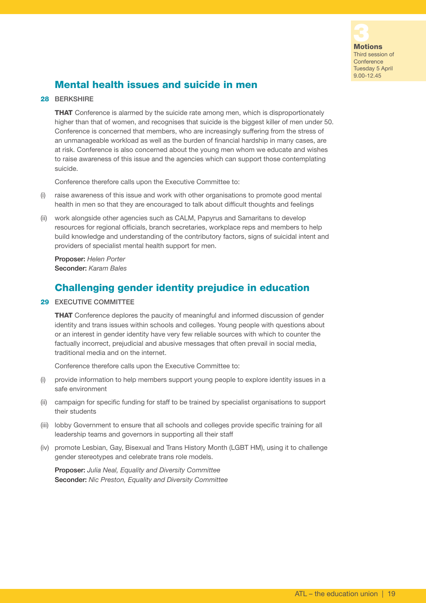

# Mental health issues and suicide in men

#### 28 BERKSHIRE

**THAT** Conference is alarmed by the suicide rate among men, which is disproportionately higher than that of women, and recognises that suicide is the biggest killer of men under 50. Conference is concerned that members, who are increasingly suffering from the stress of an unmanageable workload as well as the burden of financial hardship in many cases, are at risk. Conference is also concerned about the young men whom we educate and wishes to raise awareness of this issue and the agencies which can support those contemplating suicide.

Conference therefore calls upon the Executive Committee to:

- (i) raise awareness of this issue and work with other organisations to promote good mental health in men so that they are encouraged to talk about difficult thoughts and feelings
- (ii) work alongside other agencies such as CALM, Papyrus and Samaritans to develop resources for regional officials, branch secretaries, workplace reps and members to help build knowledge and understanding of the contributory factors, signs of suicidal intent and providers of specialist mental health support for men.

Proposer: *Helen Porter* Seconder: *Karam Bales* 

## Challenging gender identity prejudice in education

29 EXECUTIVE COMMITTEE

THAT Conference deplores the paucity of meaningful and informed discussion of gender identity and trans issues within schools and colleges. Young people with questions about or an interest in gender identity have very few reliable sources with which to counter the factually incorrect, prejudicial and abusive messages that often prevail in social media, traditional media and on the internet.

Conference therefore calls upon the Executive Committee to:

- (i) provide information to help members support young people to explore identity issues in a safe environment
- (ii) campaign for specific funding for staff to be trained by specialist organisations to support their students
- (iii) lobby Government to ensure that all schools and colleges provide specific training for all leadership teams and governors in supporting all their staff
- (iv) promote Lesbian, Gay, Bisexual and Trans History Month (LGBT HM), using it to challenge gender stereotypes and celebrate trans role models.

Proposer: *Julia Neal, Equality and Diversity Committee* Seconder: *Nic Preston, Equality and Diversity Committee*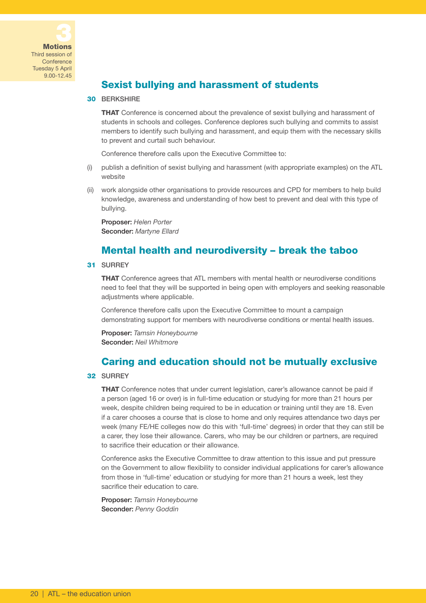

Third session of **Conference** Tuesday 5 April 9.00-12.45

# Sexist bullying and harassment of students

#### 30 BERKSHIRE

**THAT** Conference is concerned about the prevalence of sexist bullying and harassment of students in schools and colleges. Conference deplores such bullying and commits to assist members to identify such bullying and harassment, and equip them with the necessary skills to prevent and curtail such behaviour.

Conference therefore calls upon the Executive Committee to:

- (i) publish a definition of sexist bullying and harassment (with appropriate examples) on the ATL website
- (ii) work alongside other organisations to provide resources and CPD for members to help build knowledge, awareness and understanding of how best to prevent and deal with this type of bullying.

Proposer: *Helen Porter* Seconder: *Martyne Ellard*

## Mental health and neurodiversity – break the taboo

#### 31 SURREY

THAT Conference agrees that ATL members with mental health or neurodiverse conditions need to feel that they will be supported in being open with employers and seeking reasonable adjustments where applicable.

Conference therefore calls upon the Executive Committee to mount a campaign demonstrating support for members with neurodiverse conditions or mental health issues.

Proposer: *Tamsin Honeybourne* Seconder: *Neil Whitmore*

## Caring and education should not be mutually exclusive

#### 32 SURREY

**THAT** Conference notes that under current legislation, carer's allowance cannot be paid if a person (aged 16 or over) is in full-time education or studying for more than 21 hours per week, despite children being required to be in education or training until they are 18. Even if a carer chooses a course that is close to home and only requires attendance two days per week (many FE/HE colleges now do this with 'full-time' degrees) in order that they can still be a carer, they lose their allowance. Carers, who may be our children or partners, are required to sacrifice their education or their allowance.

Conference asks the Executive Committee to draw attention to this issue and put pressure on the Government to allow flexibility to consider individual applications for carer's allowance from those in 'full-time' education or studying for more than 21 hours a week, lest they sacrifice their education to care.

Proposer: *Tamsin Honeybourne* Seconder: *Penny Goddin*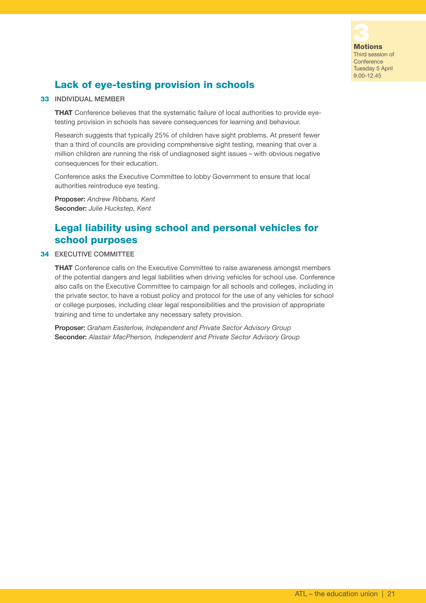

# Lack of eye-testing provision in schools

#### 33 INDIVIDUAL MEMBER

THAT Conference believes that the systematic failure of local authorities to provide eyetesting provision in schools has severe consequences for learning and behaviour.

Research suggests that typically 25% of children have sight problems. At present fewer than a third of councils are providing comprehensive sight testing, meaning that over a million children are running the risk of undiagnosed sight issues – with obvious negative consequences for their education.

Conference asks the Executive Committee to lobby Government to ensure that local authorities reintroduce eye testing.

Proposer: *Andrew Ribbans, Kent* Seconder: *Julie Huckstep, Kent*

## Legal liability using school and personal vehicles for school purposes

#### 34 EXECUTIVE COMMITTEE

THAT Conference calls on the Executive Committee to raise awareness amongst members of the potential dangers and legal liabilities when driving vehicles for school use. Conference also calls on the Executive Committee to campaign for all schools and colleges, including in the private sector, to have a robust policy and protocol for the use of any vehicles for school or college purposes, including clear legal responsibilities and the provision of appropriate training and time to undertake any necessary safety provision.

Proposer: *Graham Easterlow, Independent and Private Sector Advisory Group* Seconder: *Alastair MacPherson, Independent and Private Sector Advisory Group*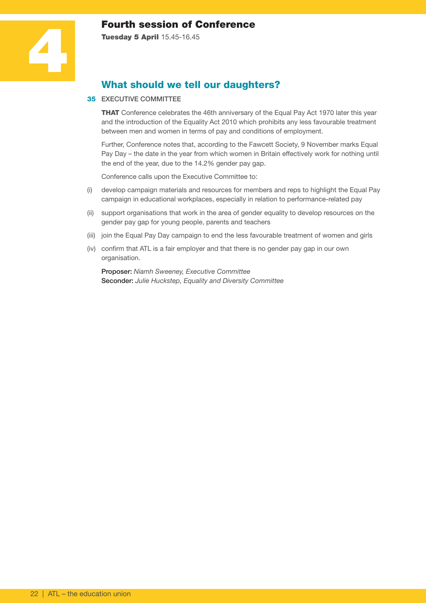## Fourth session of Conference

Tuesday 5 April 15.45-16.45



# What should we tell our daughters?

#### 35 EXECUTIVE COMMITTEE

**THAT** Conference celebrates the 46th anniversary of the Equal Pay Act 1970 later this year and the introduction of the Equality Act 2010 which prohibits any less favourable treatment between men and women in terms of pay and conditions of employment.

Further, Conference notes that, according to the Fawcett Society, 9 November marks Equal Pay Day – the date in the year from which women in Britain effectively work for nothing until the end of the year, due to the 14.2% gender pay gap.

Conference calls upon the Executive Committee to:

- (i) develop campaign materials and resources for members and reps to highlight the Equal Pay campaign in educational workplaces, especially in relation to performance-related pay
- (ii) support organisations that work in the area of gender equality to develop resources on the gender pay gap for young people, parents and teachers
- (iii) join the Equal Pay Day campaign to end the less favourable treatment of women and girls
- (iv) confirm that ATL is a fair employer and that there is no gender pay gap in our own organisation.

Proposer: *Niamh Sweeney, Executive Committee* Seconder: *Julie Huckstep, Equality and Diversity Committee*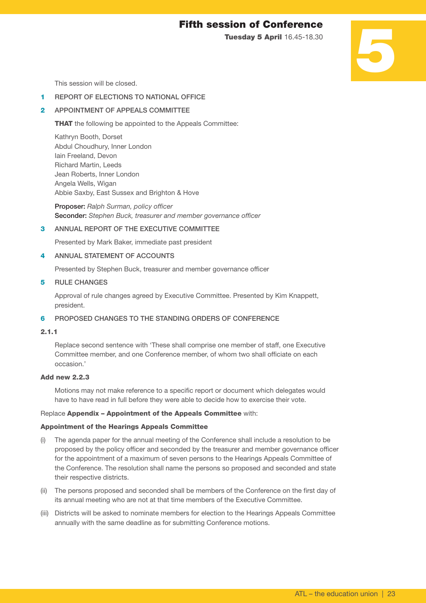## Fifth session of Conference

Tuesday 5 April 16.45-18.30

# 5

This session will be closed.

#### 1 REPORT OF ELECTIONS TO NATIONAL OFFICE

#### 2 APPOINTMENT OF APPEALS COMMITTEE

**THAT** the following be appointed to the Appeals Committee:

Kathryn Booth, Dorset Abdul Choudhury, Inner London Iain Freeland, Devon Richard Martin, Leeds Jean Roberts, Inner London Angela Wells, Wigan Abbie Saxby, East Sussex and Brighton & Hove

Proposer: *Ralph Surman, policy officer* Seconder: *Stephen Buck, treasurer and member governance officer*

#### 3 ANNUAL REPORT OF THE EXECUTIVE COMMITTEE

Presented by Mark Baker, immediate past president

#### 4 ANNUAL STATEMENT OF ACCOUNTS

Presented by Stephen Buck, treasurer and member governance officer

#### 5 RULE CHANGES

 Approval of rule changes agreed by Executive Committee. Presented by Kim Knappett, president.

#### 6 PROPOSED CHANGES TO THE STANDING ORDERS OF CONFERENCE

#### 2.1.1

 Replace second sentence with 'These shall comprise one member of staff, one Executive Committee member, and one Conference member, of whom two shall officiate on each occasion.'

#### Add new 2.2.3

 Motions may not make reference to a specific report or document which delegates would have to have read in full before they were able to decide how to exercise their vote.

#### Replace Appendix – Appointment of the Appeals Committee with:

#### Appointment of the Hearings Appeals Committee

- (i) The agenda paper for the annual meeting of the Conference shall include a resolution to be proposed by the policy officer and seconded by the treasurer and member governance officer for the appointment of a maximum of seven persons to the Hearings Appeals Committee of the Conference. The resolution shall name the persons so proposed and seconded and state their respective districts.
- (ii) The persons proposed and seconded shall be members of the Conference on the first day of its annual meeting who are not at that time members of the Executive Committee.
- (iii) Districts will be asked to nominate members for election to the Hearings Appeals Committee annually with the same deadline as for submitting Conference motions.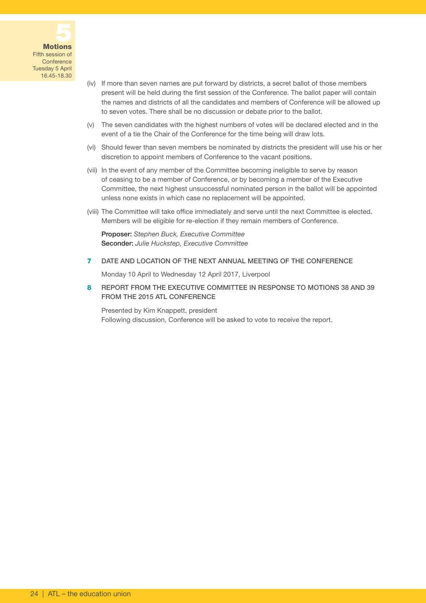

Fifth session of **Conference** Tuesday 5 April 16.45-18.30

- (iv) If more than seven names are put forward by districts, a secret ballot of those members present will be held during the first session of the Conference. The ballot paper will contain the names and districts of all the candidates and members of Conference will be allowed up to seven votes. There shall be no discussion or debate prior to the ballot.
- (v) The seven candidates with the highest numbers of votes will be declared elected and in the event of a tie the Chair of the Conference for the time being will draw lots.
- (vi) Should fewer than seven members be nominated by districts the president will use his or her discretion to appoint members of Conference to the vacant positions.
- (vii) In the event of any member of the Committee becoming ineligible to serve by reason of ceasing to be a member of Conference, or by becoming a member of the Executive Committee, the next highest unsuccessful nominated person in the ballot will be appointed unless none exists in which case no replacement will be appointed.
- (viii) The Committee will take office immediately and serve until the next Committee is elected. Members will be eligible for re-election if they remain members of Conference.

Proposer: *Stephen Buck, Executive Committee* Seconder: *Julie Huckstep, Executive Committee*

7 DATE AND LOCATION OF THE NEXT ANNUAL MEETING OF THE CONFERENCE

Monday 10 April to Wednesday 12 April 2017, Liverpool

8 REPORT FROM THE EXECUTIVE COMMITTEE IN RESPONSE TO MOTIONS 38 AND 39 FROM THE 2015 ATL CONFERENCE

 Presented by Kim Knappett, president Following discussion, Conference will be asked to vote to receive the report.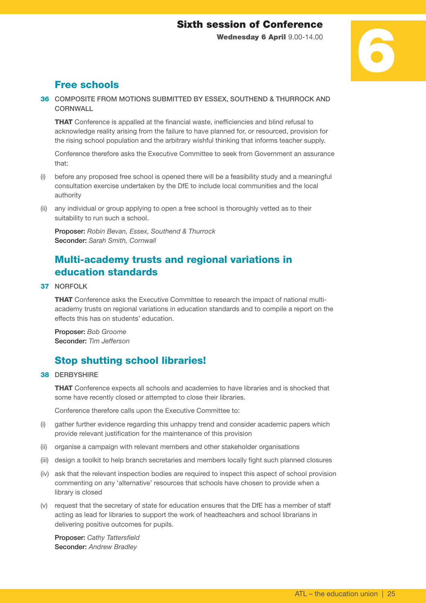# Sixth session of Conference

Wednesday 6 April 9.00-14.00

# 6

# Free schools

36 COMPOSITE FROM MOTIONS SUBMITTED BY ESSEX, SOUTHEND & THURROCK AND **CORNWALL** 

**THAT** Conference is appalled at the financial waste, inefficiencies and blind refusal to acknowledge reality arising from the failure to have planned for, or resourced, provision for the rising school population and the arbitrary wishful thinking that informs teacher supply.

Conference therefore asks the Executive Committee to seek from Government an assurance that:

- (i) before any proposed free school is opened there will be a feasibility study and a meaningful consultation exercise undertaken by the DfE to include local communities and the local authority
- (ii) any individual or group applying to open a free school is thoroughly vetted as to their suitability to run such a school.

Proposer: *Robin Bevan, Essex, Southend & Thurrock* Seconder: *Sarah Smith, Cornwall*

# Multi-academy trusts and regional variations in education standards

#### 37 NORFOLK

THAT Conference asks the Executive Committee to research the impact of national multiacademy trusts on regional variations in education standards and to compile a report on the effects this has on students' education.

Proposer: *Bob Groome* Seconder: *Tim Jefferson*

# Stop shutting school libraries!

#### 38 DERBYSHIRE

**THAT** Conference expects all schools and academies to have libraries and is shocked that some have recently closed or attempted to close their libraries.

Conference therefore calls upon the Executive Committee to:

- (i) gather further evidence regarding this unhappy trend and consider academic papers which provide relevant justification for the maintenance of this provision
- (ii) organise a campaign with relevant members and other stakeholder organisations
- (iii) design a toolkit to help branch secretaries and members locally fight such planned closures
- (iv) ask that the relevant inspection bodies are required to inspect this aspect of school provision commenting on any 'alternative' resources that schools have chosen to provide when a library is closed
- (v) request that the secretary of state for education ensures that the DfE has a member of staff acting as lead for libraries to support the work of headteachers and school librarians in delivering positive outcomes for pupils.

Proposer: *Cathy Tattersfield* Seconder: *Andrew Bradley*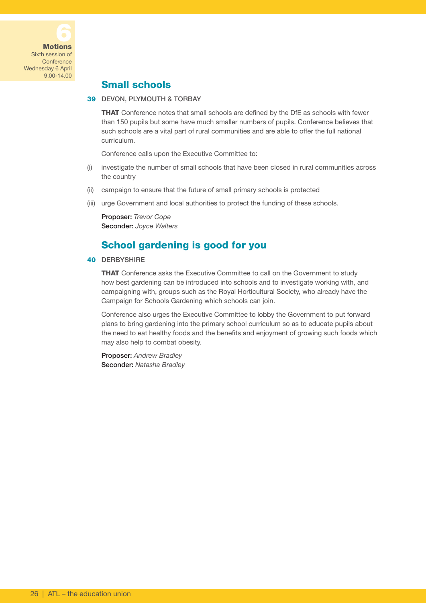

## Small schools

#### 39 DEVON, PLYMOUTH & TORBAY

THAT Conference notes that small schools are defined by the DfE as schools with fewer than 150 pupils but some have much smaller numbers of pupils. Conference believes that such schools are a vital part of rural communities and are able to offer the full national curriculum.

Conference calls upon the Executive Committee to:

- (i) investigate the number of small schools that have been closed in rural communities across the country
- (ii) campaign to ensure that the future of small primary schools is protected
- (iii) urge Government and local authorities to protect the funding of these schools.

Proposer: *Trevor Cope* Seconder: *Joyce Walters*

## School gardening is good for you

#### 40 DERBYSHIRE

**THAT** Conference asks the Executive Committee to call on the Government to study how best gardening can be introduced into schools and to investigate working with, and campaigning with, groups such as the Royal Horticultural Society, who already have the Campaign for Schools Gardening which schools can join.

Conference also urges the Executive Committee to lobby the Government to put forward plans to bring gardening into the primary school curriculum so as to educate pupils about the need to eat healthy foods and the benefits and enjoyment of growing such foods which may also help to combat obesity.

Proposer: *Andrew Bradley* Seconder: *Natasha Bradley*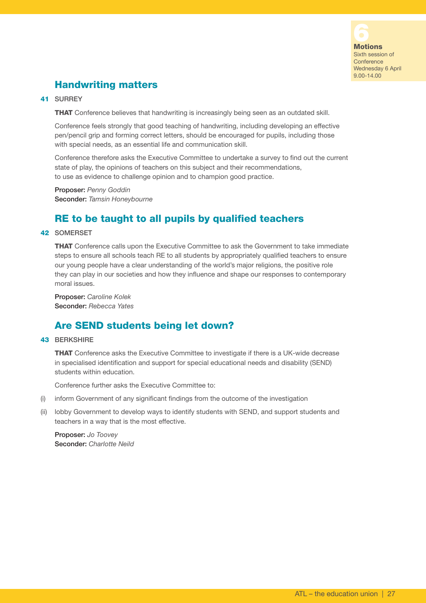

Wednesday 6 April 9.00-14.00

# Handwriting matters

#### 41 SURREY

**THAT** Conference believes that handwriting is increasingly being seen as an outdated skill.

Conference feels strongly that good teaching of handwriting, including developing an effective pen/pencil grip and forming correct letters, should be encouraged for pupils, including those with special needs, as an essential life and communication skill.

Conference therefore asks the Executive Committee to undertake a survey to find out the current state of play, the opinions of teachers on this subject and their recommendations, to use as evidence to challenge opinion and to champion good practice.

Proposer: *Penny Goddin* Seconder: *Tamsin Honeybourne*

## RE to be taught to all pupils by qualified teachers

#### 42 SOMERSET

**THAT** Conference calls upon the Executive Committee to ask the Government to take immediate steps to ensure all schools teach RE to all students by appropriately qualified teachers to ensure our young people have a clear understanding of the world's major religions, the positive role they can play in our societies and how they influence and shape our responses to contemporary moral issues.

Proposer: *Caroline Kolek* Seconder: *Rebecca Yates*

## Are SEND students being let down?

#### 43 BERKSHIRE

**THAT** Conference asks the Executive Committee to investigate if there is a UK-wide decrease in specialised identification and support for special educational needs and disability (SEND) students within education.

Conference further asks the Executive Committee to:

- (i) inform Government of any significant findings from the outcome of the investigation
- (ii) lobby Government to develop ways to identify students with SEND, and support students and teachers in a way that is the most effective.

Proposer: *Jo Toovey* Seconder: *Charlotte Neild*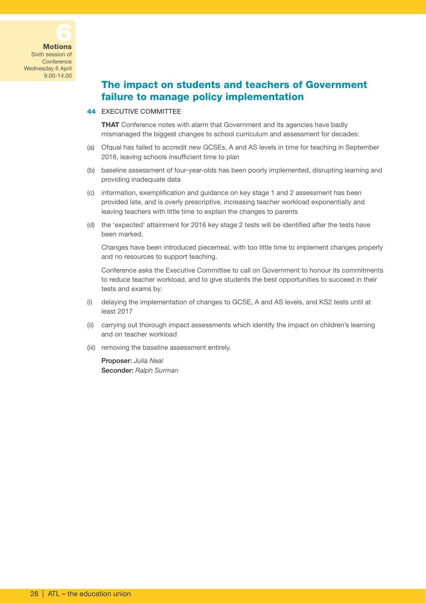# The impact on students and teachers of Government failure to manage policy implementation

#### 44 EXECUTIVE COMMITTEE

**THAT** Conference notes with alarm that Government and its agencies have badly mismanaged the biggest changes to school curriculum and assessment for decades:

- (a) Ofqual has failed to accredit new GCSEs, A and AS levels in time for teaching in September 2016, leaving schools insufficient time to plan
- (b) baseline assessment of four-year-olds has been poorly implemented, disrupting learning and providing inadequate data
- (c) information, exemplification and guidance on key stage 1 and 2 assessment has been provided late, and is overly prescriptive, increasing teacher workload exponentially and leaving teachers with little time to explain the changes to parents
- (d) the 'expected' attainment for 2016 key stage 2 tests will be identified after the tests have been marked.

 Changes have been introduced piecemeal, with too little time to implement changes properly and no resources to support teaching.

 Conference asks the Executive Committee to call on Government to honour its commitments to reduce teacher workload, and to give students the best opportunities to succeed in their tests and exams by:

- (i) delaying the implementation of changes to GCSE, A and AS levels, and KS2 tests until at least 2017
- (ii) carrying out thorough impact assessments which identify the impact on children's learning and on teacher workload
- (iii) removing the baseline assessment entirely.

Proposer: *Julia Neal* Seconder: *Ralph Surman*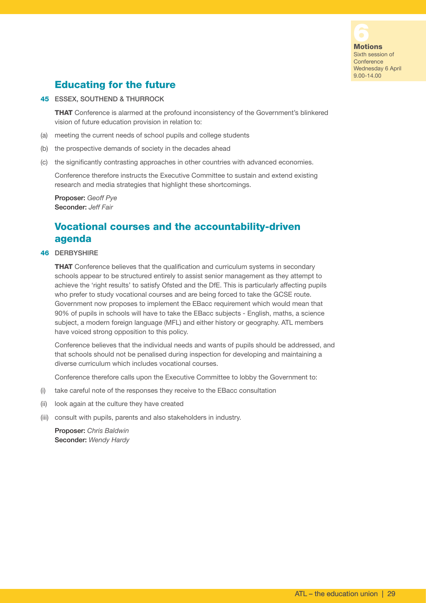

Sixth session of **Conference** Wednesday 6 April 9.00-14.00

# Educating for the future

#### 45 ESSEX, SOUTHEND & THURROCK

**THAT** Conference is alarmed at the profound inconsistency of the Government's blinkered vision of future education provision in relation to:

- (a) meeting the current needs of school pupils and college students
- (b) the prospective demands of society in the decades ahead
- (c) the significantly contrasting approaches in other countries with advanced economies.

Conference therefore instructs the Executive Committee to sustain and extend existing research and media strategies that highlight these shortcomings.

Proposer: *Geoff Pye* Seconder: *Jeff Fair*

## Vocational courses and the accountability-driven agenda

#### 46 DERBYSHIRE

**THAT** Conference believes that the qualification and curriculum systems in secondary schools appear to be structured entirely to assist senior management as they attempt to achieve the 'right results' to satisfy Ofsted and the DfE. This is particularly affecting pupils who prefer to study vocational courses and are being forced to take the GCSE route. Government now proposes to implement the EBacc requirement which would mean that 90% of pupils in schools will have to take the EBacc subjects - English, maths, a science subject, a modern foreign language (MFL) and either history or geography. ATL members have voiced strong opposition to this policy.

Conference believes that the individual needs and wants of pupils should be addressed, and that schools should not be penalised during inspection for developing and maintaining a diverse curriculum which includes vocational courses.

Conference therefore calls upon the Executive Committee to lobby the Government to:

- (i) take careful note of the responses they receive to the EBacc consultation
- (ii) look again at the culture they have created
- (iii) consult with pupils, parents and also stakeholders in industry.

Proposer: *Chris Baldwin* Seconder: *Wendy Hardy*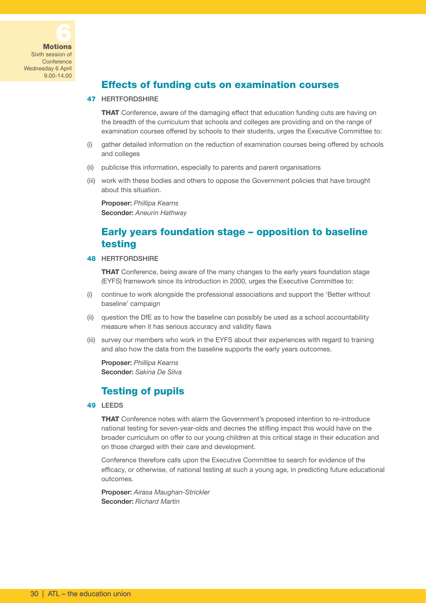

## Effects of funding cuts on examination courses

#### 47 HERTFORDSHIRE

**THAT** Conference, aware of the damaging effect that education funding cuts are having on the breadth of the curriculum that schools and colleges are providing and on the range of examination courses offered by schools to their students, urges the Executive Committee to:

- (i) gather detailed information on the reduction of examination courses being offered by schools and colleges
- (ii) publicise this information, especially to parents and parent organisations
- (iii) work with these bodies and others to oppose the Government policies that have brought about this situation.

Proposer: *Phillipa Kearns* Seconder: *Aneurin Hathway*

## Early years foundation stage – opposition to baseline testing

#### 48 HERTFORDSHIRE

**THAT** Conference, being aware of the many changes to the early years foundation stage (EYFS) framework since its introduction in 2000, urges the Executive Committee to:

- (i) continue to work alongside the professional associations and support the 'Better without baseline' campaign
- (ii) question the DfE as to how the baseline can possibly be used as a school accountability measure when it has serious accuracy and validity flaws
- (iii) survey our members who work in the EYFS about their experiences with regard to training and also how the data from the baseline supports the early years outcomes.

Proposer: *Phillipa Kearns* Seconder: *Sakina De Silva*

## Testing of pupils

#### 49 LEEDS

THAT Conference notes with alarm the Government's proposed intention to re-introduce national testing for seven-year-olds and decries the stifling impact this would have on the broader curriculum on offer to our young children at this critical stage in their education and on those charged with their care and development.

Conference therefore calls upon the Executive Committee to search for evidence of the efficacy, or otherwise, of national testing at such a young age, in predicting future educational outcomes.

Proposer: *Airasa Maughan-Strickler* Seconder: *Richard Martin*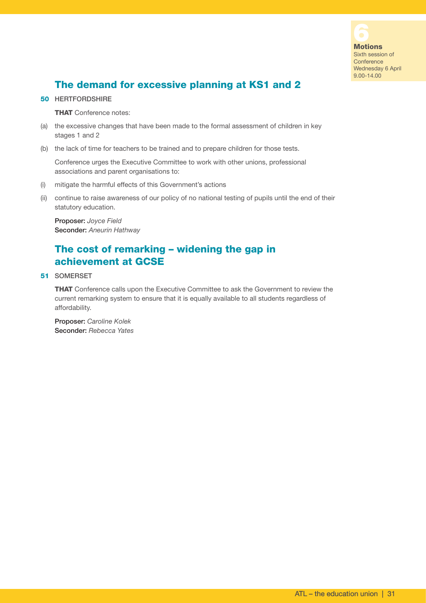

# The demand for excessive planning at KS1 and 2

#### 50 HERTFORDSHIRE

**THAT** Conference notes:

- (a) the excessive changes that have been made to the formal assessment of children in key stages 1 and 2
- (b) the lack of time for teachers to be trained and to prepare children for those tests.

Conference urges the Executive Committee to work with other unions, professional associations and parent organisations to:

- (i) mitigate the harmful effects of this Government's actions
- (ii) continue to raise awareness of our policy of no national testing of pupils until the end of their statutory education.

Proposer: *Joyce Field* Seconder: *Aneurin Hathway*

## The cost of remarking – widening the gap in achievement at GCSE

51 SOMERSET

THAT Conference calls upon the Executive Committee to ask the Government to review the current remarking system to ensure that it is equally available to all students regardless of affordability.

Proposer: *Caroline Kolek* Seconder: *Rebecca Yates*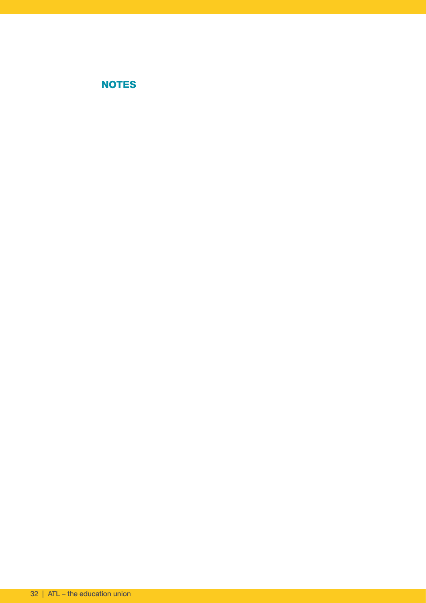# NOTES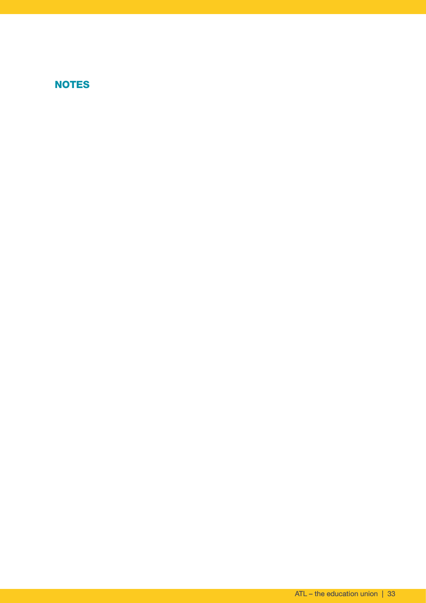# NOTES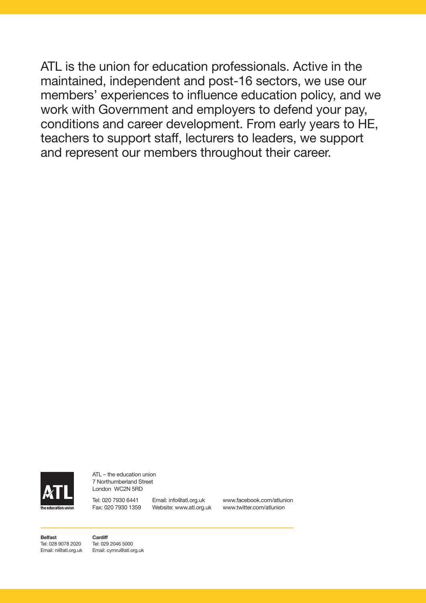ATL is the union for education professionals. Active in the maintained, independent and post-16 sectors, we use our members' experiences to influence education policy, and we work with Government and employers to defend your pay, conditions and career development. From early years to HE, teachers to support staff, lecturers to leaders, we support and represent our members throughout their career.



ATL – the education union 7 Northumberland Street London WC2N 5RD

Tel: 020 7930 6441 Email: info@atl.org.uk Fax: 020 7930 1359 Website: www.atl.org.uk

www.facebook.com/atlunion www.twitter.com/atlunion

**Belfast** Tel: 028 9078 2020 Email: ni@atl.org.uk **Cardiff** Tel: 029 2046 5000 Email: cymru@atl.org.uk